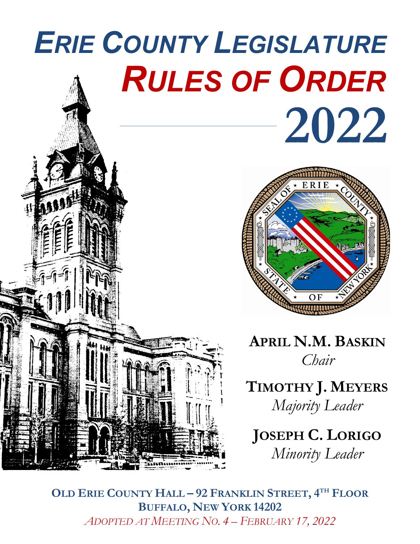# *ERIE COUNTY LEGISLATURE RULES OF ORDER* **2022**



**APRIL N.M. BASKIN** *Chair*

**TIMOTHY J. MEYERS** *Majority Leader*

**JOSEPH C. LORIGO** *Minority Leader*

**OLD ERIE COUNTY HALL – 92 FRANKLIN STREET, 4TH FLOOR BUFFALO, NEW YORK 14202** *ADOPTED AT MEETING NO. 4 – FEBRUARY 17, 2022*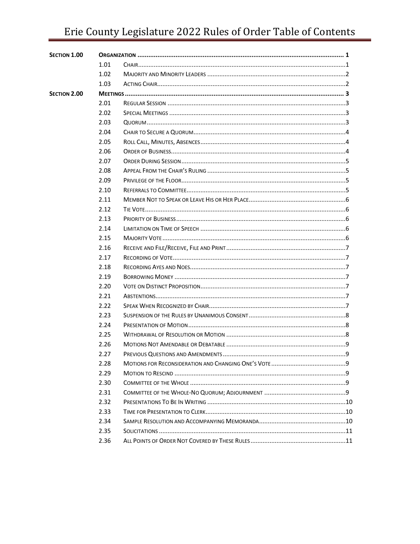# Erie County Legislature 2022 Rules of Order Table of Contents

| SECTION 1.00 |       |  |  |
|--------------|-------|--|--|
|              | 1.01  |  |  |
|              | 1.02  |  |  |
|              | 1.03  |  |  |
| SECTION 2.00 |       |  |  |
|              | 2.01  |  |  |
|              | 2.02  |  |  |
|              | 2.03  |  |  |
|              | 2.04  |  |  |
|              | 2.05  |  |  |
|              | 2.06  |  |  |
|              | 2.07  |  |  |
|              | 2.08  |  |  |
|              | 2.09  |  |  |
|              | 2.10  |  |  |
|              | 2.11  |  |  |
|              | 2 1 2 |  |  |
|              | 2.13  |  |  |
|              | 2.14  |  |  |
|              | 2 1 5 |  |  |
|              | 2.16  |  |  |
|              | 2.17  |  |  |
|              | 2.18  |  |  |
|              | 2.19  |  |  |
|              | 2.20  |  |  |
|              | 2.21  |  |  |
|              | 2.22  |  |  |
|              | 2.23  |  |  |
|              | 2.24  |  |  |
|              | 2.25  |  |  |
|              | 2.26  |  |  |
|              | 2.27  |  |  |
|              | 2.28  |  |  |
|              | 2.29  |  |  |
|              | 2.30  |  |  |
|              | 2.31  |  |  |
|              | 2.32  |  |  |
|              | 2.33  |  |  |
|              | 2.34  |  |  |
|              | 2.35  |  |  |
|              | 2.36  |  |  |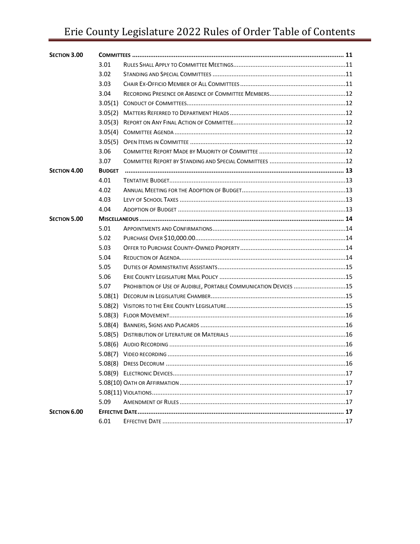# Erie County Legislature 2022 Rules of Order Table of Contents

| <b>SECTION 3.00</b> |               |                                                                  |  |  |
|---------------------|---------------|------------------------------------------------------------------|--|--|
|                     | 3.01          |                                                                  |  |  |
|                     | 3.02          |                                                                  |  |  |
|                     | 3.03          |                                                                  |  |  |
|                     | 3.04          |                                                                  |  |  |
|                     |               |                                                                  |  |  |
|                     | 3.05(2)       |                                                                  |  |  |
|                     |               |                                                                  |  |  |
|                     |               |                                                                  |  |  |
|                     |               |                                                                  |  |  |
|                     | 3.06          |                                                                  |  |  |
|                     | 3.07          |                                                                  |  |  |
| <b>SECTION 4.00</b> | <b>BUDGET</b> |                                                                  |  |  |
|                     | 4.01          |                                                                  |  |  |
|                     | 4.02          |                                                                  |  |  |
|                     | 4.03          |                                                                  |  |  |
|                     | 4.04          |                                                                  |  |  |
| <b>SECTION 5.00</b> |               |                                                                  |  |  |
|                     | 5.01          |                                                                  |  |  |
|                     | 5.02          |                                                                  |  |  |
|                     | 5.03          |                                                                  |  |  |
|                     | 5.04          |                                                                  |  |  |
|                     | 5.05          |                                                                  |  |  |
|                     | 5.06          |                                                                  |  |  |
|                     | 5.07          | PROHIBITION OF USE OF AUDIBLE, PORTABLE COMMUNICATION DEVICES 15 |  |  |
|                     | 5.08(1)       |                                                                  |  |  |
|                     | 5.08(2)       |                                                                  |  |  |
|                     | 5.08(3)       |                                                                  |  |  |
|                     |               |                                                                  |  |  |
|                     |               |                                                                  |  |  |
|                     |               |                                                                  |  |  |
|                     |               |                                                                  |  |  |
|                     |               |                                                                  |  |  |
|                     |               |                                                                  |  |  |
|                     |               |                                                                  |  |  |
|                     |               |                                                                  |  |  |
|                     | 5.09          |                                                                  |  |  |
| SECTION 6.00        |               |                                                                  |  |  |
|                     | 6.01          |                                                                  |  |  |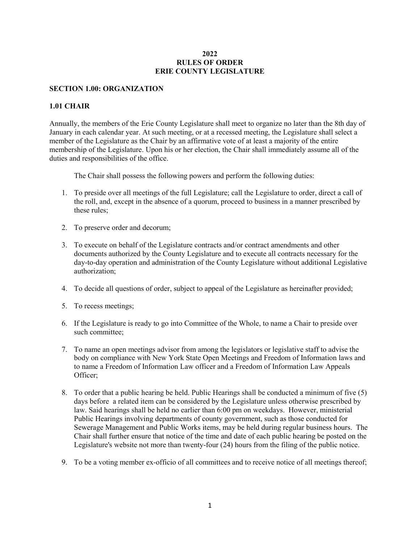#### **2022 RULES OF ORDER ERIE COUNTY LEGISLATURE**

#### **SECTION 1.00: ORGANIZATION**

#### **1.01 CHAIR**

Annually, the members of the Erie County Legislature shall meet to organize no later than the 8th day of January in each calendar year. At such meeting, or at a recessed meeting, the Legislature shall select a member of the Legislature as the Chair by an affirmative vote of at least a majority of the entire membership of the Legislature. Upon his or her election, the Chair shall immediately assume all of the duties and responsibilities of the office.

The Chair shall possess the following powers and perform the following duties:

- 1. To preside over all meetings of the full Legislature; call the Legislature to order, direct a call of the roll, and, except in the absence of a quorum, proceed to business in a manner prescribed by these rules;
- 2. To preserve order and decorum;
- 3. To execute on behalf of the Legislature contracts and/or contract amendments and other documents authorized by the County Legislature and to execute all contracts necessary for the day-to-day operation and administration of the County Legislature without additional Legislative authorization;
- 4. To decide all questions of order, subject to appeal of the Legislature as hereinafter provided;
- 5. To recess meetings;
- 6. If the Legislature is ready to go into Committee of the Whole, to name a Chair to preside over such committee;
- 7. To name an open meetings advisor from among the legislators or legislative staff to advise the body on compliance with New York State Open Meetings and Freedom of Information laws and to name a Freedom of Information Law officer and a Freedom of Information Law Appeals Officer;
- 8. To order that a public hearing be held. Public Hearings shall be conducted a minimum of five (5) days before a related item can be considered by the Legislature unless otherwise prescribed by law. Said hearings shall be held no earlier than 6:00 pm on weekdays. However, ministerial Public Hearings involving departments of county government, such as those conducted for Sewerage Management and Public Works items, may be held during regular business hours. The Chair shall further ensure that notice of the time and date of each public hearing be posted on the Legislature's website not more than twenty-four (24) hours from the filing of the public notice.
- 9. To be a voting member ex-officio of all committees and to receive notice of all meetings thereof;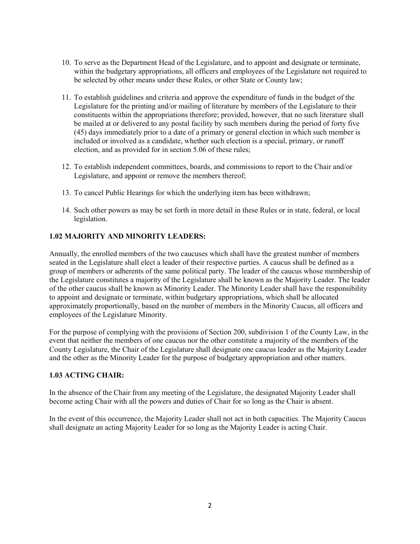- 10. To serve as the Department Head of the Legislature, and to appoint and designate or terminate, within the budgetary appropriations, all officers and employees of the Legislature not required to be selected by other means under these Rules, or other State or County law;
- 11. To establish guidelines and criteria and approve the expenditure of funds in the budget of the Legislature for the printing and/or mailing of literature by members of the Legislature to their constituents within the appropriations therefore; provided, however, that no such literature·shall be mailed at or delivered to any postal facility by such members during the period of forty five (45) days immediately prior to a date of a primary or general election in which such member is included or involved as a candidate, whether such election is a special, primary, or runoff election, and as provided for in section 5.06 of these rules;
- 12. To establish independent committees, boards, and commissions to report to the Chair and/or Legislature, and appoint or remove the members thereof;
- 13. To cancel Public Hearings for which the underlying item has been withdrawn;
- 14. Such other powers as may be set forth in more detail in these Rules or in state, federal, or local legislation.

#### **1.02 MAJORITY AND MINORITY LEADERS:**

Annually, the enrolled members of the two caucuses which shall have the greatest number of members seated in the Legislature shall elect a leader of their respective parties. A caucus shall be defined as a group of members or adherents of the same political party. The leader of the caucus whose membership of the Legislature constitutes a majority of the Legislature shall be known as the Majority Leader. The leader of the other caucus shall be known as Minority Leader. The Minority Leader shall have the responsibility to appoint and designate or terminate, within budgetary appropriations, which shall be allocated approximately proportionally, based on the number of members in the Minority Caucus, all officers and employees of the Legislature Minority.

For the purpose of complying with the provisions of Section 200, subdivision 1 of the County Law, in the event that neither the members of one caucus nor the other constitute a majority of the members of the County Legislature, the Chair of the Legislature shall designate one caucus leader as the Majority Leader and the other as the Minority Leader for the purpose of budgetary appropriation and other matters.

#### **1.03 ACTING CHAIR:**

In the absence of the Chair from any meeting of the Legislature, the designated Majority Leader shall become acting Chair with all the powers and duties of Chair for so long as the Chair is absent.

In the event of this occurrence, the Majority Leader shall not act in both capacities. The Majority Caucus shall designate an acting Majority Leader for so long as the Majority Leader is acting Chair.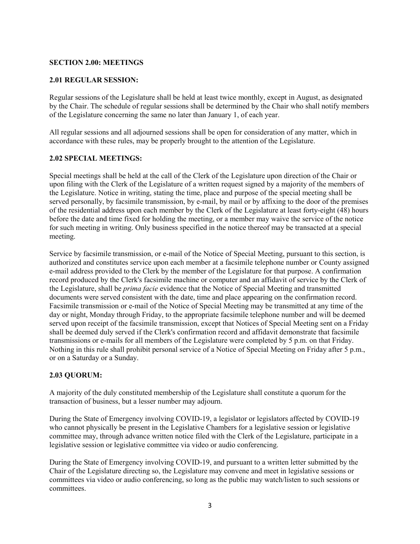#### **SECTION 2.00: MEETINGS**

#### **2.01 REGULAR SESSION:**

Regular sessions of the Legislature shall be held at least twice monthly, except in August, as designated by the Chair. The schedule of regular sessions shall be determined by the Chair who shall notify members of the Legislature concerning the same no later than January 1, of each year.

All regular sessions and all adjourned sessions shall be open for consideration of any matter, which in accordance with these rules, may be properly brought to the attention of the Legislature.

#### **2.02 SPECIAL MEETINGS:**

Special meetings shall be held at the call of the Clerk of the Legislature upon direction of the Chair or upon filing with the Clerk of the Legislature of a written request signed by a majority of the members of the Legislature. Notice in writing, stating the time, place and purpose of the special meeting shall be served personally, by facsimile transmission, by e-mail, by mail or by affixing to the door of the premises of the residential address upon each member by the Clerk of the Legislature at least forty-eight (48) hours before the date and time fixed for holding the meeting, or a member may waive the service of the notice for such meeting in writing. Only business specified in the notice thereof may be transacted at a special meeting.

Service by facsimile transmission, or e-mail of the Notice of Special Meeting, pursuant to this section, is authorized and constitutes service upon each member at a facsimile telephone number or County assigned e-mail address provided to the Clerk by the member of the Legislature for that purpose. A confirmation record produced by the Clerk's facsimile machine or computer and an affidavit of service by the Clerk of the Legislature, shall be *prima facie* evidence that the Notice of Special Meeting and transmitted documents were served consistent with the date, time and place appearing on the confirmation record. Facsimile transmission or e-mail of the Notice of Special Meeting may be transmitted at any time of the day or night, Monday through Friday, to the appropriate facsimile telephone number and will be deemed served upon receipt of the facsimile transmission, except that Notices of Special Meeting sent on a Friday shall be deemed duly served if the Clerk's confirmation record and affidavit demonstrate that facsimile transmissions or e-mails for all members of the Legislature were completed by 5 p.m. on that Friday. Nothing in this rule shall prohibit personal service of a Notice of Special Meeting on Friday after 5 p.m., or on a Saturday or a Sunday.

#### **2.03 QUORUM:**

A majority of the duly constituted membership of the Legislature shall constitute a quorum for the transaction of business, but a lesser number may adjourn.

During the State of Emergency involving COVID-19, a legislator or legislators affected by COVID-19 who cannot physically be present in the Legislative Chambers for a legislative session or legislative committee may, through advance written notice filed with the Clerk of the Legislature, participate in a legislative session or legislative committee via video or audio conferencing.

During the State of Emergency involving COVID-19, and pursuant to a written letter submitted by the Chair of the Legislature directing so, the Legislature may convene and meet in legislative sessions or committees via video or audio conferencing, so long as the public may watch/listen to such sessions or committees.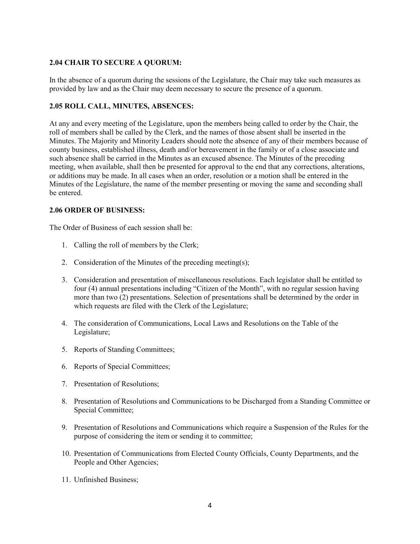# **2.04 CHAIR TO SECURE A QUORUM:**

In the absence of a quorum during the sessions of the Legislature, the Chair may take such measures as provided by law and as the Chair may deem necessary to secure the presence of a quorum.

# **2.05 ROLL CALL, MINUTES, ABSENCES:**

At any and every meeting of the Legislature, upon the members being called to order by the Chair, the roll of members shall be called by the Clerk, and the names of those absent shall be inserted in the Minutes. The Majority and Minority Leaders should note the absence of any of their members because of county business, established illness, death and/or bereavement in the family or of a close associate and such absence shall be carried in the Minutes as an excused absence. The Minutes of the preceding meeting, when available, shall then be presented for approval to the end that any corrections, alterations, or additions may be made. In all cases when an order, resolution or a motion shall be entered in the Minutes of the Legislature, the name of the member presenting or moving the same and seconding shall be entered.

#### **2.06 ORDER OF BUSINESS:**

The Order of Business of each session shall be:

- 1. Calling the roll of members by the Clerk;
- 2. Consideration of the Minutes of the preceding meeting(s);
- 3. Consideration and presentation of miscellaneous resolutions. Each legislator shall be entitled to four (4) annual presentations including "Citizen of the Month", with no regular session having more than two (2) presentations. Selection of presentations shall be determined by the order in which requests are filed with the Clerk of the Legislature;
- 4. The consideration of Communications, Local Laws and Resolutions on the Table of the Legislature;
- 5. Reports of Standing Committees;
- 6. Reports of Special Committees;
- 7. Presentation of Resolutions;
- 8. Presentation of Resolutions and Communications to be Discharged from a Standing Committee or Special Committee;
- 9. Presentation of Resolutions and Communications which require a Suspension of the Rules for the purpose of considering the item or sending it to committee;
- 10. Presentation of Communications from Elected County Officials, County Departments, and the People and Other Agencies;
- 11. Unfinished Business;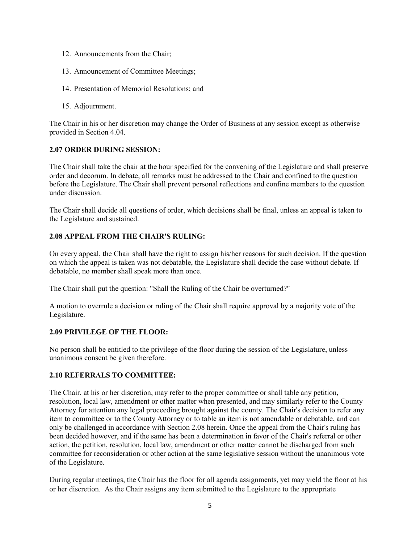- 12. Announcements from the Chair;
- 13. Announcement of Committee Meetings;
- 14. Presentation of Memorial Resolutions; and
- 15. Adjournment.

The Chair in his or her discretion may change the Order of Business at any session except as otherwise provided in Section 4.04.

#### **2.07 ORDER DURING SESSION:**

The Chair shall take the chair at the hour specified for the convening of the Legislature and shall preserve order and decorum. In debate, all remarks must be addressed to the Chair and confined to the question before the Legislature. The Chair shall prevent personal reflections and confine members to the question under discussion.

The Chair shall decide all questions of order, which decisions shall be final, unless an appeal is taken to the Legislature and sustained.

# **2.08 APPEAL FROM THE CHAIR'S RULING:**

On every appeal, the Chair shall have the right to assign his/her reasons for such decision. If the question on which the appeal is taken was not debatable, the Legislature shall decide the case without debate. If debatable, no member shall speak more than once.

The Chair shall put the question: "Shall the Ruling of the Chair be overturned?"

A motion to overrule a decision or ruling of the Chair shall require approval by a majority vote of the Legislature.

#### **2.09 PRIVILEGE OF THE FLOOR:**

No person shall be entitled to the privilege of the floor during the session of the Legislature, unless unanimous consent be given therefore.

#### **2.10 REFERRALS TO COMMITTEE:**

The Chair, at his or her discretion, may refer to the proper committee or shall table any petition, resolution, local law, amendment or other matter when presented, and may similarly refer to the County Attorney for attention any legal proceeding brought against the county. The Chair's decision to refer any item to committee or to the County Attorney or to table an item is not amendable or debatable, and can only be challenged in accordance with Section 2.08 herein. Once the appeal from the Chair's ruling has been decided however, and if the same has been a determination in favor of the Chair's referral or other action, the petition, resolution, local law, amendment or other matter cannot be discharged from such committee for reconsideration or other action at the same legislative session without the unanimous vote of the Legislature.

During regular meetings, the Chair has the floor for all agenda assignments, yet may yield the floor at his or her discretion. As the Chair assigns any item submitted to the Legislature to the appropriate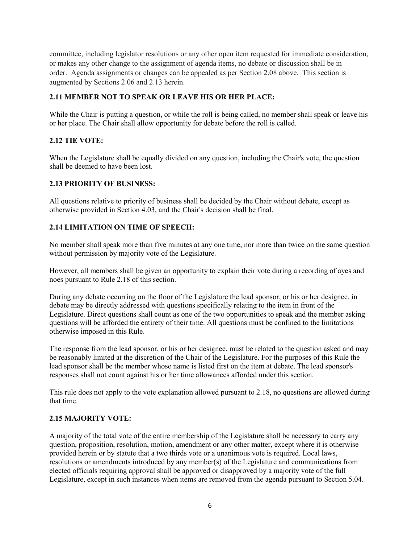committee, including legislator resolutions or any other open item requested for immediate consideration, or makes any other change to the assignment of agenda items, no debate or discussion shall be in order. Agenda assignments or changes can be appealed as per Section 2.08 above. This section is augmented by Sections 2.06 and 2.13 herein.

# **2.11 MEMBER NOT TO SPEAK OR LEAVE HIS OR HER PLACE:**

While the Chair is putting a question, or while the roll is being called, no member shall speak or leave his or her place. The Chair shall allow opportunity for debate before the roll is called.

# **2.12 TIE VOTE:**

When the Legislature shall be equally divided on any question, including the Chair's vote, the question shall be deemed to have been lost.

# **2.13 PRIORITY OF BUSINESS:**

All questions relative to priority of business shall be decided by the Chair without debate, except as otherwise provided in Section 4.03, and the Chair's decision shall be final.

# **2.14 LIMITATION ON TIME OF SPEECH:**

No member shall speak more than five minutes at any one time, nor more than twice on the same question without permission by majority vote of the Legislature.

However, all members shall be given an opportunity to explain their vote during a recording of ayes and noes pursuant to Rule 2.18 of this section.

During any debate occurring on the floor of the Legislature the lead sponsor, or his or her designee, in debate may be directly addressed with questions specifically relating to the item in front of the Legislature. Direct questions shall count as one of the two opportunities to speak and the member asking questions will be afforded the entirety of their time. All questions must be confined to the limitations otherwise imposed in this Rule.

The response from the lead sponsor, or his or her designee, must be related to the question asked and may be reasonably limited at the discretion of the Chair of the Legislature. For the purposes of this Rule the lead sponsor shall be the member whose name is listed first on the item at debate. The lead sponsor's responses shall not count against his or her time allowances afforded under this section.

This rule does not apply to the vote explanation allowed pursuant to 2.18, no questions are allowed during that time.

#### **2.15 MAJORITY VOTE:**

A majority of the total vote of the entire membership of the Legislature shall be necessary to carry any question, proposition, resolution, motion, amendment or any other matter, except where it is otherwise provided herein or by statute that a two thirds vote or a unanimous vote is required. Local laws, resolutions or amendments introduced by any member(s) of the Legislature and communications from elected officials requiring approval shall be approved or disapproved by a majority vote of the full Legislature, except in such instances when items are removed from the agenda pursuant to Section 5.04.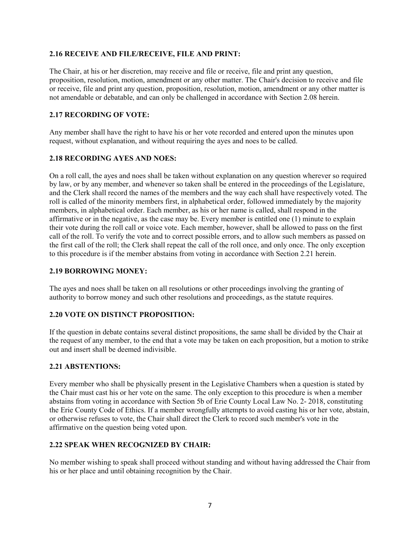#### **2.16 RECEIVE AND FILE/RECEIVE, FILE AND PRINT:**

The Chair, at his or her discretion, may receive and file or receive, file and print any question, proposition, resolution, motion, amendment or any other matter. The Chair's decision to receive and file or receive, file and print any question, proposition, resolution, motion, amendment or any other matter is not amendable or debatable, and can only be challenged in accordance with Section 2.08 herein.

# **2.17 RECORDING OF VOTE:**

Any member shall have the right to have his or her vote recorded and entered upon the minutes upon request, without explanation, and without requiring the ayes and noes to be called.

# **2.18 RECORDING AYES AND NOES:**

On a roll call, the ayes and noes shall be taken without explanation on any question wherever so required by law, or by any member, and whenever so taken shall be entered in the proceedings of the Legislature, and the Clerk shall record the names of the members and the way each shall have respectively voted. The roll is called of the minority members first, in alphabetical order, followed immediately by the majority members, in alphabetical order. Each member, as his or her name is called, shall respond in the affirmative or in the negative, as the case may be. Every member is entitled one (1) minute to explain their vote during the roll call or voice vote. Each member, however, shall be allowed to pass on the first call of the roll. To verify the vote and to correct possible errors, and to allow such members as passed on the first call of the roll; the Clerk shall repeat the call of the roll once, and only once. The only exception to this procedure is if the member abstains from voting in accordance with Section 2.21 herein.

#### **2.19 BORROWING MONEY:**

The ayes and noes shall be taken on all resolutions or other proceedings involving the granting of authority to borrow money and such other resolutions and proceedings, as the statute requires.

#### **2.20 VOTE ON DISTINCT PROPOSITION:**

If the question in debate contains several distinct propositions, the same shall be divided by the Chair at the request of any member, to the end that a vote may be taken on each proposition, but a motion to strike out and insert shall be deemed indivisible.

#### **2.21 ABSTENTIONS:**

Every member who shall be physically present in the Legislative Chambers when a question is stated by the Chair must cast his or her vote on the same. The only exception to this procedure is when a member abstains from voting in accordance with Section 5b of Erie County Local Law No. 2- 2018, constituting the Erie County Code of Ethics. If a member wrongfully attempts to avoid casting his or her vote, abstain, or otherwise refuses to vote, the Chair shall direct the Clerk to record such member's vote in the affirmative on the question being voted upon.

#### **2.22 SPEAK WHEN RECOGNIZED BY CHAIR:**

No member wishing to speak shall proceed without standing and without having addressed the Chair from his or her place and until obtaining recognition by the Chair.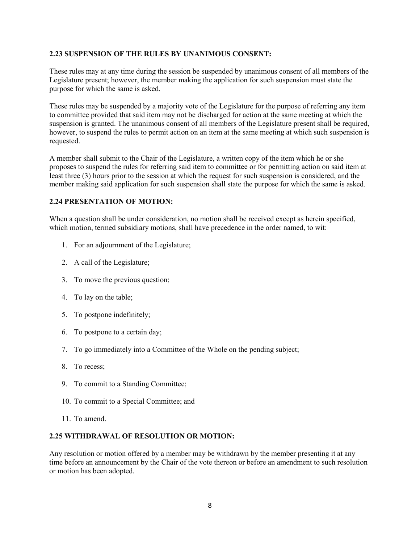#### **2.23 SUSPENSION OF THE RULES BY UNANIMOUS CONSENT:**

These rules may at any time during the session be suspended by unanimous consent of all members of the Legislature present; however, the member making the application for such suspension must state the purpose for which the same is asked.

These rules may be suspended by a majority vote of the Legislature for the purpose of referring any item to committee provided that said item may not be discharged for action at the same meeting at which the suspension is granted. The unanimous consent of all members of the Legislature present shall be required, however, to suspend the rules to permit action on an item at the same meeting at which such suspension is requested.

A member shall submit to the Chair of the Legislature, a written copy of the item which he or she proposes to suspend the rules for referring said item to committee or for permitting action on said item at least three (3) hours prior to the session at which the request for such suspension is considered, and the member making said application for such suspension shall state the purpose for which the same is asked.

#### **2.24 PRESENTATION OF MOTION:**

When a question shall be under consideration, no motion shall be received except as herein specified, which motion, termed subsidiary motions, shall have precedence in the order named, to wit:

- 1. For an adjournment of the Legislature;
- 2. A call of the Legislature;
- 3. To move the previous question;
- 4. To lay on the table;
- 5. To postpone indefinitely;
- 6. To postpone to a certain day;
- 7. To go immediately into a Committee of the Whole on the pending subject;
- 8. To recess;
- 9. To commit to a Standing Committee;
- 10. To commit to a Special Committee; and
- 11. To amend.

#### **2.25 WITHDRAWAL OF RESOLUTION OR MOTION:**

Any resolution or motion offered by a member may be withdrawn by the member presenting it at any time before an announcement by the Chair of the vote thereon or before an amendment to such resolution or motion has been adopted.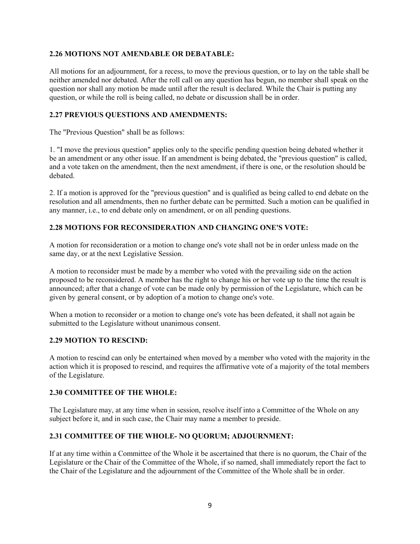#### **2.26 MOTIONS NOT AMENDABLE OR DEBATABLE:**

All motions for an adjournment, for a recess, to move the previous question, or to lay on the table shall be neither amended nor debated. After the roll call on any question has begun, no member shall speak on the question nor shall any motion be made until after the result is declared. While the Chair is putting any question, or while the roll is being called, no debate or discussion shall be in order.

# **2.27 PREVIOUS QUESTIONS AND AMENDMENTS:**

The "Previous Question" shall be as follows:

1. "I move the previous question" applies only to the specific pending question being debated whether it be an amendment or any other issue. If an amendment is being debated, the "previous question" is called, and a vote taken on the amendment, then the next amendment, if there is one, or the resolution should be debated.

2. If a motion is approved for the "previous question" and is qualified as being called to end debate on the resolution and all amendments, then no further debate can be permitted. Such a motion can be qualified in any manner, i.e., to end debate only on amendment, or on all pending questions.

# **2.28 MOTIONS FOR RECONSIDERATION AND CHANGING ONE'S VOTE:**

A motion for reconsideration or a motion to change one's vote shall not be in order unless made on the same day, or at the next Legislative Session.

A motion to reconsider must be made by a member who voted with the prevailing side on the action proposed to be reconsidered. A member has the right to change his or her vote up to the time the result is announced; after that a change of vote can be made only by permission of the Legislature, which can be given by general consent, or by adoption of a motion to change one's vote.

When a motion to reconsider or a motion to change one's vote has been defeated, it shall not again be submitted to the Legislature without unanimous consent.

#### **2.29 MOTION TO RESCIND:**

A motion to rescind can only be entertained when moved by a member who voted with the majority in the action which it is proposed to rescind, and requires the affirmative vote of a majority of the total members of the Legislature.

#### **2.30 COMMITTEE OF THE WHOLE:**

The Legislature may, at any time when in session, resolve itself into a Committee of the Whole on any subject before it, and in such case, the Chair may name a member to preside.

# **2.31 COMMITTEE OF THE WHOLE- NO QUORUM; ADJOURNMENT:**

If at any time within a Committee of the Whole it be ascertained that there is no quorum, the Chair of the Legislature or the Chair of the Committee of the Whole, if so named, shall immediately report the fact to the Chair of the Legislature and the adjournment of the Committee of the Whole shall be in order.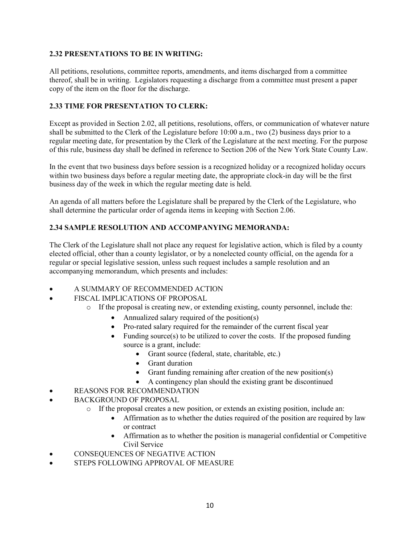# **2.32 PRESENTATIONS TO BE IN WRITING:**

All petitions, resolutions, committee reports, amendments, and items discharged from a committee thereof, shall be in writing. Legislators requesting a discharge from a committee must present a paper copy of the item on the floor for the discharge.

# **2.33 TIME FOR PRESENTATION TO CLERK:**

Except as provided in Section 2.02, all petitions, resolutions, offers, or communication of whatever nature shall be submitted to the Clerk of the Legislature before 10:00 a.m., two (2) business days prior to a regular meeting date, for presentation by the Clerk of the Legislature at the next meeting. For the purpose of this rule, business day shall be defined in reference to Section 206 of the New York State County Law.

In the event that two business days before session is a recognized holiday or a recognized holiday occurs within two business days before a regular meeting date, the appropriate clock-in day will be the first business day of the week in which the regular meeting date is held.

An agenda of all matters before the Legislature shall be prepared by the Clerk of the Legislature, who shall determine the particular order of agenda items in keeping with Section 2.06.

# **2.34 SAMPLE RESOLUTION AND ACCOMPANYING MEMORANDA:**

The Clerk of the Legislature shall not place any request for legislative action, which is filed by a county elected official, other than a county legislator, or by a nonelected county official, on the agenda for a regular or special legislative session, unless such request includes a sample resolution and an accompanying memorandum, which presents and includes:

- A SUMMARY OF RECOMMENDED ACTION
- FISCAL IMPLICATIONS OF PROPOSAL
	- $\circ$  If the proposal is creating new, or extending existing, county personnel, include the:
		- Annualized salary required of the position(s)
		- Pro-rated salary required for the remainder of the current fiscal year
		- Funding source $(s)$  to be utilized to cover the costs. If the proposed funding source is a grant, include:
			- Grant source (federal, state, charitable, etc.)
			- Grant duration
			- Grant funding remaining after creation of the new position(s)
			- A contingency plan should the existing grant be discontinued
- REASONS FOR RECOMMENDATION
- BACKGROUND OF PROPOSAL
	- $\circ$  If the proposal creates a new position, or extends an existing position, include an:
		- Affirmation as to whether the duties required of the position are required by law or contract
		- Affirmation as to whether the position is managerial confidential or Competitive Civil Service
- CONSEQUENCES OF NEGATIVE ACTION
- STEPS FOLLOWING APPROVAL OF MEASURE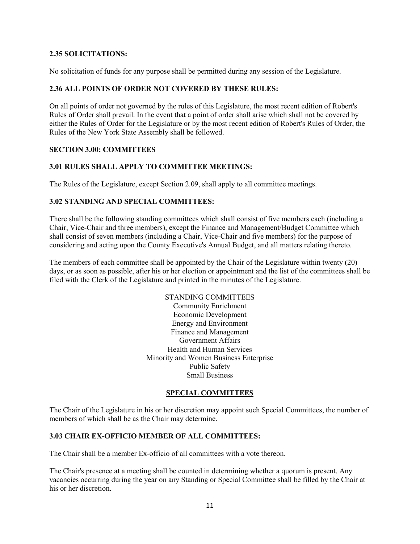#### **2.35 SOLICITATIONS:**

No solicitation of funds for any purpose shall be permitted during any session of the Legislature.

#### **2.36 ALL POINTS OF ORDER NOT COVERED BY THESE RULES:**

On all points of order not governed by the rules of this Legislature, the most recent edition of Robert's Rules of Order shall prevail. In the event that a point of order shall arise which shall not be covered by either the Rules of Order for the Legislature or by the most recent edition of Robert's Rules of Order, the Rules of the New York State Assembly shall be followed.

#### **SECTION 3.00: COMMITTEES**

#### **3.01 RULES SHALL APPLY TO COMMITTEE MEETINGS:**

The Rules of the Legislature, except Section 2.09, shall apply to all committee meetings.

#### **3.02 STANDING AND SPECIAL COMMITTEES:**

There shall be the following standing committees which shall consist of five members each (including a Chair, Vice-Chair and three members), except the Finance and Management/Budget Committee which shall consist of seven members (including a Chair, Vice-Chair and five members) for the purpose of considering and acting upon the County Executive's Annual Budget, and all matters relating thereto.

The members of each committee shall be appointed by the Chair of the Legislature within twenty (20) days, or as soon as possible, after his or her election or appointment and the list of the committees shall be filed with the Clerk of the Legislature and printed in the minutes of the Legislature.

> STANDING COMMITTEES Community Enrichment Economic Development Energy and Environment Finance and Management Government Affairs Health and Human Services Minority and Women Business Enterprise Public Safety Small Business

# **SPECIAL COMMITTEES**

The Chair of the Legislature in his or her discretion may appoint such Special Committees, the number of members of which shall be as the Chair may determine.

#### **3.03 CHAIR EX-OFFICIO MEMBER OF ALL COMMITTEES:**

The Chair shall be a member Ex-officio of all committees with a vote thereon.

The Chair's presence at a meeting shall be counted in determining whether a quorum is present. Any vacancies occurring during the year on any Standing or Special Committee shall be filled by the Chair at his or her discretion.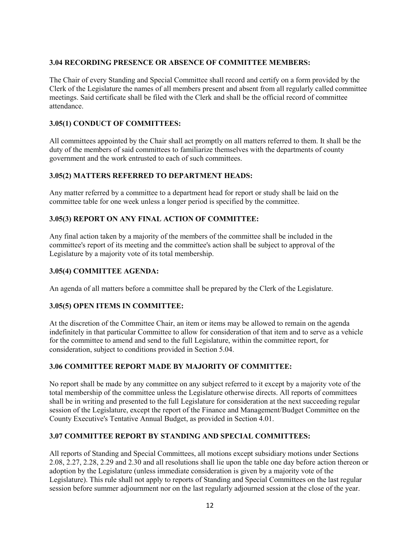# **3.04 RECORDING PRESENCE OR ABSENCE OF COMMITTEE MEMBERS:**

The Chair of every Standing and Special Committee shall record and certify on a form provided by the Clerk of the Legislature the names of all members present and absent from all regularly called committee meetings. Said certificate shall be filed with the Clerk and shall be the official record of committee attendance.

# **3.05(1) CONDUCT OF COMMITTEES:**

All committees appointed by the Chair shall act promptly on all matters referred to them. It shall be the duty of the members of said committees to familiarize themselves with the departments of county government and the work entrusted to each of such committees.

# **3.05(2) MATTERS REFERRED TO DEPARTMENT HEADS:**

Any matter referred by a committee to a department head for report or study shall be laid on the committee table for one week unless a longer period is specified by the committee.

# **3.05(3) REPORT ON ANY FINAL ACTION OF COMMITTEE:**

Any final action taken by a majority of the members of the committee shall be included in the committee's report of its meeting and the committee's action shall be subject to approval of the Legislature by a majority vote of its total membership.

#### **3.05(4) COMMITTEE AGENDA:**

An agenda of all matters before a committee shall be prepared by the Clerk of the Legislature.

#### **3.05(5) OPEN ITEMS IN COMMITTEE:**

At the discretion of the Committee Chair, an item or items may be allowed to remain on the agenda indefinitely in that particular Committee to allow for consideration of that item and to serve as a vehicle for the committee to amend and send to the full Legislature, within the committee report, for consideration, subject to conditions provided in Section 5.04.

#### **3.06 COMMITTEE REPORT MADE BY MAJORITY OF COMMITTEE:**

No report shall be made by any committee on any subject referred to it except by a majority vote of the total membership of the committee unless the Legislature otherwise directs. All reports of committees shall be in writing and presented to the full Legislature for consideration at the next succeeding regular session of the Legislature, except the report of the Finance and Management/Budget Committee on the County Executive's Tentative Annual Budget, as provided in Section 4.01.

#### **3.07 COMMITTEE REPORT BY STANDING AND SPECIAL COMMITTEES:**

All reports of Standing and Special Committees, all motions except subsidiary motions under Sections 2.08, 2.27, 2.28, 2.29 and 2.30 and all resolutions shall lie upon the table one day before action thereon or adoption by the Legislature (unless immediate consideration is given by a majority vote of the Legislature). This rule shall not apply to reports of Standing and Special Committees on the last regular session before summer adjournment nor on the last regularly adjourned session at the close of the year.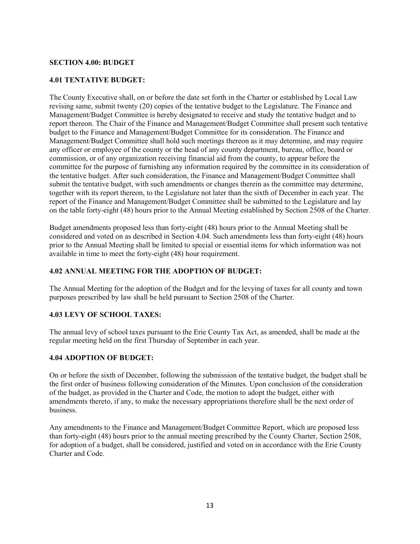#### **SECTION 4.00: BUDGET**

#### **4.01 TENTATIVE BUDGET:**

The County Executive shall, on or before the date set forth in the Charter or established by Local Law revising same, submit twenty (20) copies of the tentative budget to the Legislature. The Finance and Management/Budget Committee is hereby designated to receive and study the tentative budget and to report thereon. The Chair of the Finance and Management/Budget Committee shall present such tentative budget to the Finance and Management/Budget Committee for its consideration. The Finance and Management/Budget Committee shall hold such meetings thereon as it may determine, and may require any officer or employee of the county or the head of any county department, bureau, office, board or commission, or of any organization receiving financial aid from the county, to appear before the committee for the purpose of furnishing any information required by the committee in its consideration of the tentative budget. After such consideration, the Finance and Management/Budget Committee shall submit the tentative budget, with such amendments or changes therein as the committee may determine, together with its report thereon, to the Legislature not later than the sixth of December in each year. The report of the Finance and Management/Budget Committee shall be submitted to the Legislature and lay on the table forty-eight (48) hours prior to the Annual Meeting established by Section 2508 of the Charter.

Budget amendments proposed less than forty-eight (48) hours prior to the Annual Meeting shall be considered and voted on as described in Section 4.04. Such amendments less than forty-eight (48) hours prior to the Annual Meeting shall be limited to special or essential items for which information was not available in time to meet the forty-eight (48) hour requirement.

#### **4.02 ANNUAL MEETING FOR THE ADOPTION OF BUDGET:**

The Annual Meeting for the adoption of the Budget and for the levying of taxes for all county and town purposes prescribed by law shall be held pursuant to Section 2508 of the Charter.

#### **4.03 LEVY OF SCHOOL TAXES:**

The annual levy of school taxes pursuant to the Erie County Tax Act, as amended, shall be made at the regular meeting held on the first Thursday of September in each year.

#### **4.04 ADOPTION OF BUDGET:**

On or before the sixth of December, following the submission of the tentative budget, the budget shall be the first order of business following consideration of the Minutes. Upon conclusion of the consideration of the budget, as provided in the Charter and Code, the motion to adopt the budget, either with amendments thereto, if any, to make the necessary appropriations therefore shall be the next order of business.

Any amendments to the Finance and Management/Budget Committee Report, which are proposed less than forty-eight (48) hours prior to the annual meeting prescribed by the County Charter, Section 2508, for adoption of a budget, shall be considered, justified and voted on in accordance with the Erie County Charter and Code.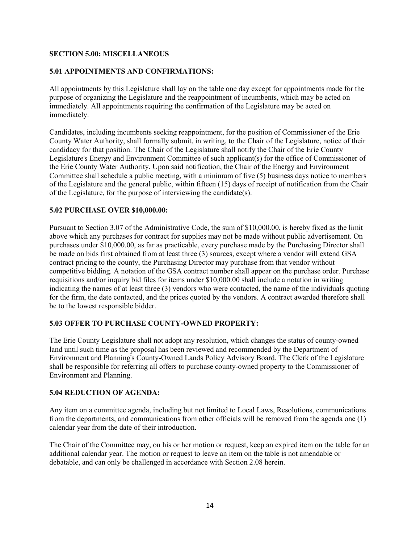# **SECTION 5.00: MISCELLANEOUS**

#### **5.01 APPOINTMENTS AND CONFIRMATIONS:**

All appointments by this Legislature shall lay on the table one day except for appointments made for the purpose of organizing the Legislature and the reappointment of incumbents, which may be acted on immediately. All appointments requiring the confirmation of the Legislature may be acted on immediately.

Candidates, including incumbents seeking reappointment, for the position of Commissioner of the Erie County Water Authority, shall formally submit, in writing, to the Chair of the Legislature, notice of their candidacy for that position. The Chair of the Legislature shall notify the Chair of the Erie County Legislature's Energy and Environment Committee of such applicant(s) for the office of Commissioner of the Erie County Water Authority. Upon said notification, the Chair of the Energy and Environment Committee shall schedule a public meeting, with a minimum of five (5) business days notice to members of the Legislature and the general public, within fifteen (15) days of receipt of notification from the Chair of the Legislature, for the purpose of interviewing the candidate(s).

#### **5.02 PURCHASE OVER \$10,000.00:**

Pursuant to Section 3.07 of the Administrative Code, the sum of \$10,000.00, is hereby fixed as the limit above which any purchases for contract for supplies may not be made without public advertisement. On purchases under \$10,000.00, as far as practicable, every purchase made by the Purchasing Director shall be made on bids first obtained from at least three (3) sources, except where a vendor will extend GSA contract pricing to the county, the Purchasing Director may purchase from that vendor without competitive bidding. A notation of the GSA contract number shall appear on the purchase order. Purchase requisitions and/or inquiry bid files for items under \$10,000.00 shall include a notation in writing indicating the names of at least three (3) vendors who were contacted, the name of the individuals quoting for the firm, the date contacted, and the prices quoted by the vendors. A contract awarded therefore shall be to the lowest responsible bidder.

# **5.03 OFFER TO PURCHASE COUNTY-OWNED PROPERTY:**

The Erie County Legislature shall not adopt any resolution, which changes the status of county-owned land until such time as the proposal has been reviewed and recommended by the Department of Environment and Planning's County-Owned Lands Policy Advisory Board. The Clerk of the Legislature shall be responsible for referring all offers to purchase county-owned property to the Commissioner of Environment and Planning.

#### **5.04 REDUCTION OF AGENDA:**

Any item on a committee agenda, including but not limited to Local Laws, Resolutions, communications from the departments, and communications from other officials will be removed from the agenda one (1) calendar year from the date of their introduction.

The Chair of the Committee may, on his or her motion or request, keep an expired item on the table for an additional calendar year. The motion or request to leave an item on the table is not amendable or debatable, and can only be challenged in accordance with Section 2.08 herein.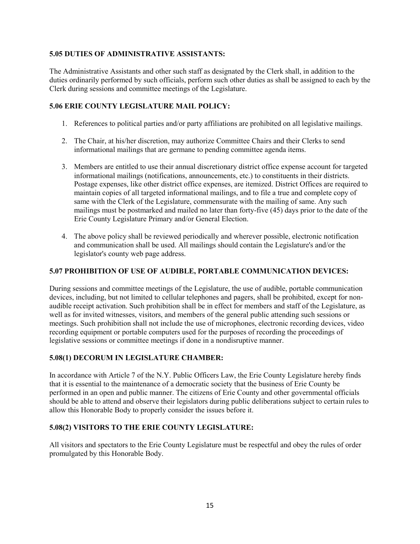# **5.05 DUTIES OF ADMINISTRATIVE ASSISTANTS:**

The Administrative Assistants and other such staff as designated by the Clerk shall, in addition to the duties ordinarily performed by such officials, perform such other duties as shall be assigned to each by the Clerk during sessions and committee meetings of the Legislature.

# **5.06 ERIE COUNTY LEGISLATURE MAIL POLICY:**

- 1. References to political parties and/or party affiliations are prohibited on all legislative mailings.
- 2. The Chair, at his/her discretion, may authorize Committee Chairs and their Clerks to send informational mailings that are germane to pending committee agenda items.
- 3. Members are entitled to use their annual discretionary district office expense account for targeted informational mailings (notifications, announcements, etc.) to constituents in their districts. Postage expenses, like other district office expenses, are itemized. District Offices are required to maintain copies of all targeted informational mailings, and to file a true and complete copy of same with the Clerk of the Legislature, commensurate with the mailing of same. Any such mailings must be postmarked and mailed no later than forty-five (45) days prior to the date of the Erie County Legislature Primary and/or General Election.
- 4. The above policy shall be reviewed periodically and wherever possible, electronic notification and communication shall be used. All mailings should contain the Legislature's and/or the legislator's county web page address.

#### **5.07 PROHIBITION OF USE OF AUDIBLE, PORTABLE COMMUNICATION DEVICES:**

During sessions and committee meetings of the Legislature, the use of audible, portable communication devices, including, but not limited to cellular telephones and pagers, shall be prohibited, except for nonaudible receipt activation. Such prohibition shall be in effect for members and staff of the Legislature, as well as for invited witnesses, visitors, and members of the general public attending such sessions or meetings. Such prohibition shall not include the use of microphones, electronic recording devices, video recording equipment or portable computers used for the purposes of recording the proceedings of legislative sessions or committee meetings if done in a nondisruptive manner.

#### **5.08(1) DECORUM IN LEGISLATURE CHAMBER:**

In accordance with Article 7 of the N.Y. Public Officers Law, the Erie County Legislature hereby finds that it is essential to the maintenance of a democratic society that the business of Erie County be performed in an open and public manner. The citizens of Erie County and other governmental officials should be able to attend and observe their legislators during public deliberations subject to certain rules to allow this Honorable Body to properly consider the issues before it.

#### **5.08(2) VISITORS TO THE ERIE COUNTY LEGISLATURE:**

All visitors and spectators to the Erie County Legislature must be respectful and obey the rules of order promulgated by this Honorable Body.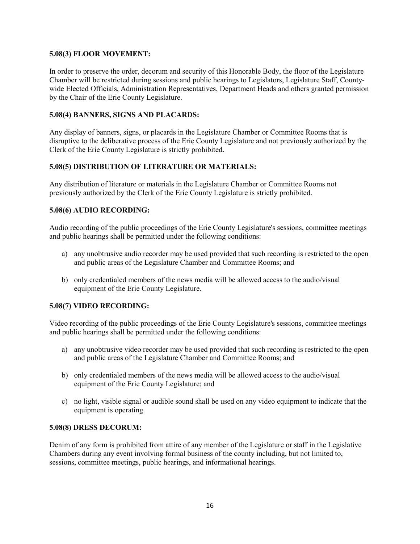#### **5.08(3) FLOOR MOVEMENT:**

In order to preserve the order, decorum and security of this Honorable Body, the floor of the Legislature Chamber will be restricted during sessions and public hearings to Legislators, Legislature Staff, Countywide Elected Officials, Administration Representatives, Department Heads and others granted permission by the Chair of the Erie County Legislature.

# **5.08(4) BANNERS, SIGNS AND PLACARDS:**

Any display of banners, signs, or placards in the Legislature Chamber or Committee Rooms that is disruptive to the deliberative process of the Erie County Legislature and not previously authorized by the Clerk of the Erie County Legislature is strictly prohibited.

# **5.08(5) DISTRIBUTION OF LITERATURE OR MATERIALS:**

Any distribution of literature or materials in the Legislature Chamber or Committee Rooms not previously authorized by the Clerk of the Erie County Legislature is strictly prohibited.

# **5.08(6) AUDIO RECORDING:**

Audio recording of the public proceedings of the Erie County Legislature's sessions, committee meetings and public hearings shall be permitted under the following conditions:

- a) any unobtrusive audio recorder may be used provided that such recording is restricted to the open and public areas of the Legislature Chamber and Committee Rooms; and
- b) only credentialed members of the news media will be allowed access to the audio/visual equipment of the Erie County Legislature.

# **5.08(7) VIDEO RECORDING:**

Video recording of the public proceedings of the Erie County Legislature's sessions, committee meetings and public hearings shall be permitted under the following conditions:

- a) any unobtrusive video recorder may be used provided that such recording is restricted to the open and public areas of the Legislature Chamber and Committee Rooms; and
- b) only credentialed members of the news media will be allowed access to the audio/visual equipment of the Erie County Legislature; and
- c) no light, visible signal or audible sound shall be used on any video equipment to indicate that the equipment is operating.

#### **5.08(8) DRESS DECORUM:**

Denim of any form is prohibited from attire of any member of the Legislature or staff in the Legislative Chambers during any event involving formal business of the county including, but not limited to, sessions, committee meetings, public hearings, and informational hearings.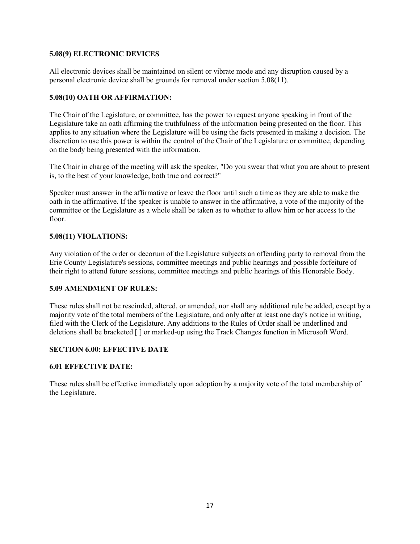#### **5.08(9) ELECTRONIC DEVICES**

All electronic devices shall be maintained on silent or vibrate mode and any disruption caused by a personal electronic device shall be grounds for removal under section 5.08(11).

#### **5.08(10) OATH OR AFFIRMATION:**

The Chair of the Legislature, or committee, has the power to request anyone speaking in front of the Legislature take an oath affirming the truthfulness of the information being presented on the floor. This applies to any situation where the Legislature will be using the facts presented in making a decision. The discretion to use this power is within the control of the Chair of the Legislature or committee, depending on the body being presented with the information.

The Chair in charge of the meeting will ask the speaker, "Do you swear that what you are about to present is, to the best of your knowledge, both true and correct?"

Speaker must answer in the affirmative or leave the floor until such a time as they are able to make the oath in the affirmative. If the speaker is unable to answer in the affirmative, a vote of the majority of the committee or the Legislature as a whole shall be taken as to whether to allow him or her access to the floor.

# **5.08(11) VIOLATIONS:**

Any violation of the order or decorum of the Legislature subjects an offending party to removal from the Erie County Legislature's sessions, committee meetings and public hearings and possible forfeiture of their right to attend future sessions, committee meetings and public hearings of this Honorable Body.

#### **5.09 AMENDMENT OF RULES:**

These rules shall not be rescinded, altered, or amended, nor shall any additional rule be added, except by a majority vote of the total members of the Legislature, and only after at least one day's notice in writing, filed with the Clerk of the Legislature. Any additions to the Rules of Order shall be underlined and deletions shall be bracketed [ ] or marked-up using the Track Changes function in Microsoft Word.

# **SECTION 6.00: EFFECTIVE DATE**

#### **6.01 EFFECTIVE DATE:**

These rules shall be effective immediately upon adoption by a majority vote of the total membership of the Legislature.